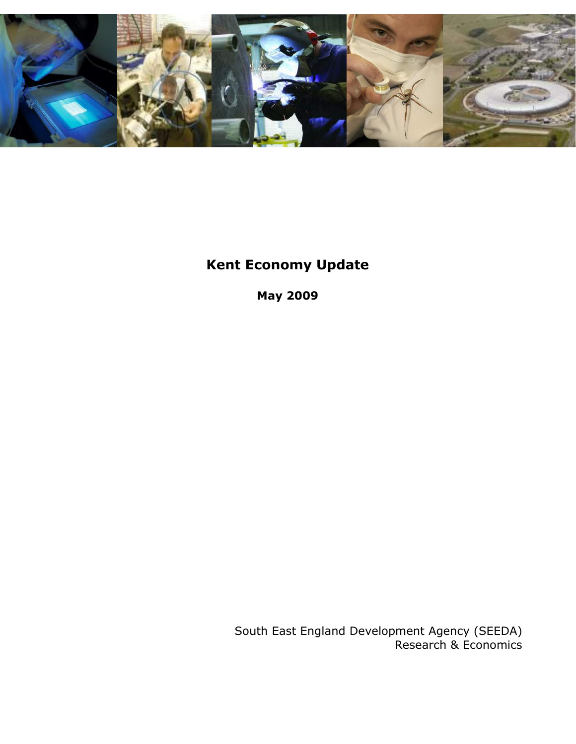

# Kent Economy Update

May 2009

South East England Development Agency (SEEDA) Research & Economics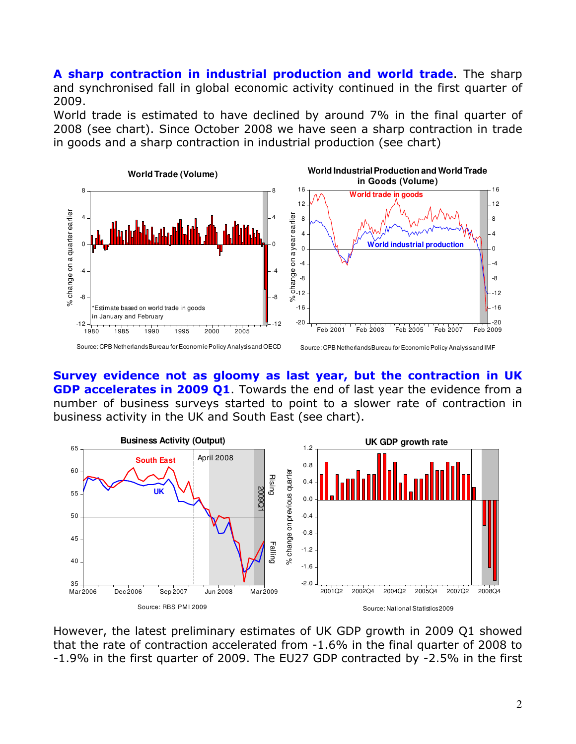A sharp contraction in industrial production and world trade. The sharp and synchronised fall in global economic activity continued in the first quarter of 2009.

World trade is estimated to have declined by around 7% in the final quarter of 2008 (see chart). Since October 2008 we have seen a sharp contraction in trade in goods and a sharp contraction in industrial production (see chart)



Survey evidence not as gloomy as last year, but the contraction in UK GDP accelerates in 2009 Q1. Towards the end of last year the evidence from a number of business surveys started to point to a slower rate of contraction in business activity in the UK and South East (see chart).



However, the latest preliminary estimates of UK GDP growth in 2009 Q1 showed that the rate of contraction accelerated from -1.6% in the final quarter of 2008 to -1.9% in the first quarter of 2009. The EU27 GDP contracted by -2.5% in the first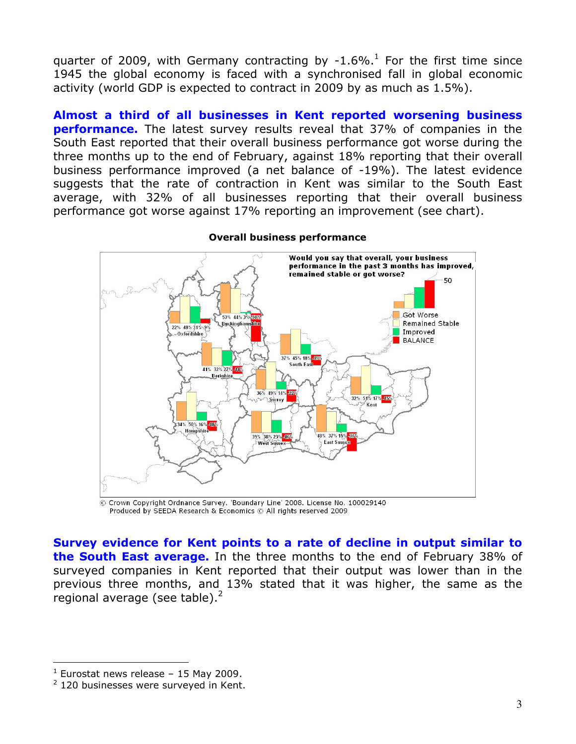quarter of 2009, with Germany contracting by -1.6%.<sup>1</sup> For the first time since 1945 the global economy is faced with a synchronised fall in global economic activity (world GDP is expected to contract in 2009 by as much as 1.5%).

Almost a third of all businesses in Kent reported worsening business **performance.** The latest survey results reveal that 37% of companies in the South East reported that their overall business performance got worse during the three months up to the end of February, against 18% reporting that their overall business performance improved (a net balance of -19%). The latest evidence suggests that the rate of contraction in Kent was similar to the South East average, with 32% of all businesses reporting that their overall business performance got worse against 17% reporting an improvement (see chart).



### Overall business performance

Crown Copyright Ordnance Survey. 'Boundary Line' 2008. License No. 100029140 Produced by SEEDA Research & Economics © All rights reserved 2009

Survey evidence for Kent points to a rate of decline in output similar to the South East average. In the three months to the end of February 38% of surveyed companies in Kent reported that their output was lower than in the previous three months, and 13% stated that it was higher, the same as the regional average (see table). $2$ 

l.

 $<sup>1</sup>$  Eurostat news release – 15 May 2009.</sup>

 $2$  120 businesses were surveyed in Kent.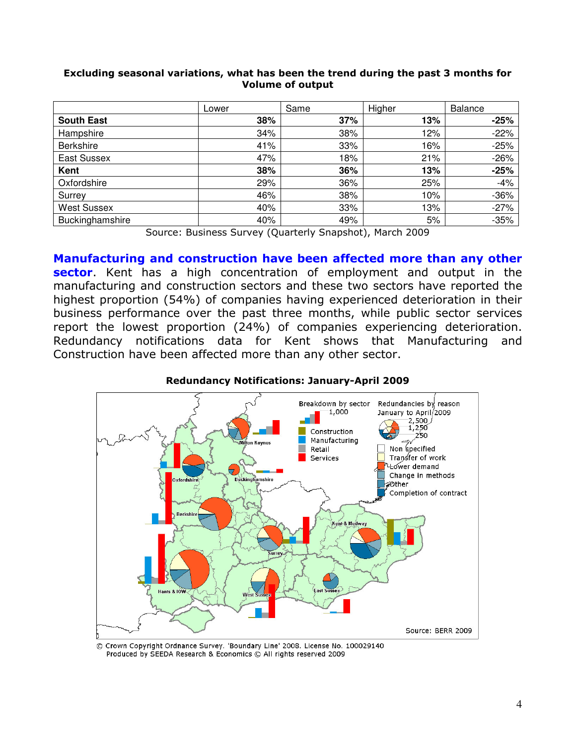|                                             | Lower         | Same                   | Higher                                 | <b>Balance</b> |
|---------------------------------------------|---------------|------------------------|----------------------------------------|----------------|
| <b>South East</b>                           | 38%           | 37%                    | 13%                                    | $-25%$         |
| Hampshire                                   | 34%           | 38%                    | 12%                                    | $-22%$         |
| <b>Berkshire</b>                            | 41%           | 33%                    | 16%                                    | $-25%$         |
| East Sussex                                 | 47%           | 18%                    | 21%                                    | $-26%$         |
| Kent                                        | 38%           | 36%                    | 13%                                    | $-25%$         |
| Oxfordshire                                 | 29%           | 36%                    | 25%                                    | $-4%$          |
| Surrey                                      | 46%           | 38%                    | 10%                                    | $-36%$         |
| <b>West Sussex</b>                          | 40%           | 33%                    | 13%                                    | $-27%$         |
| Buckinghamshire<br>$\overline{\phantom{0}}$ | 40%<br>$\sim$ | 49%<br>$\cdot$ $\cdot$ | 5%<br>.<br>$\sim$ $\sim$ $\sim$ $\sim$ | $-35%$         |

## Excluding seasonal variations, what has been the trend during the past 3 months for Volume of output

Source: Business Survey (Quarterly Snapshot), March 2009

Manufacturing and construction have been affected more than any other sector. Kent has a high concentration of employment and output in the manufacturing and construction sectors and these two sectors have reported the highest proportion (54%) of companies having experienced deterioration in their business performance over the past three months, while public sector services report the lowest proportion (24%) of companies experiencing deterioration. Redundancy notifications data for Kent shows that Manufacturing and Construction have been affected more than any other sector.



## Redundancy Notifications: January-April 2009

© Crown Copyright Ordnance Survey. 'Boundary Line' 2008. License No. 100029140 Produced by SEEDA Research & Economics © All rights reserved 2009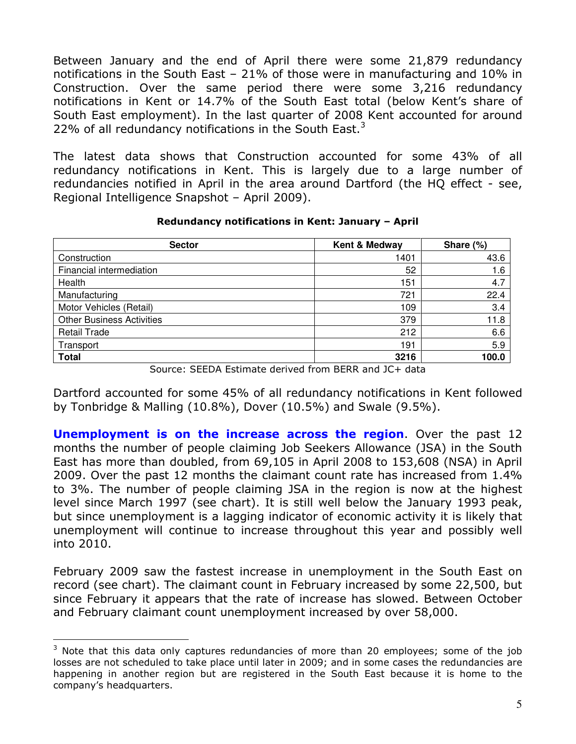Between January and the end of April there were some 21,879 redundancy notifications in the South East – 21% of those were in manufacturing and 10% in Construction. Over the same period there were some 3,216 redundancy notifications in Kent or 14.7% of the South East total (below Kent's share of South East employment). In the last quarter of 2008 Kent accounted for around 22% of all redundancy notifications in the South East. $3$ 

The latest data shows that Construction accounted for some 43% of all redundancy notifications in Kent. This is largely due to a large number of redundancies notified in April in the area around Dartford (the HQ effect - see, Regional Intelligence Snapshot – April 2009).

| <b>Sector</b>                    | Kent & Medway              | Share (%) |
|----------------------------------|----------------------------|-----------|
| Construction                     | 1401                       | 43.6      |
| Financial intermediation         | 52                         | 1.6       |
| Health                           | 151                        | 4.7       |
| Manufacturing                    | 721                        | 22.4      |
| Motor Vehicles (Retail)          | 109                        | 3.4       |
| <b>Other Business Activities</b> | 379                        | 11.8      |
| <b>Retail Trade</b>              | 212                        | 6.6       |
| Transport                        | 191                        | 5.9       |
| <b>Total</b><br>. .<br>_____ . _ | 3216<br>----<br>$\sim$ $-$ | 100.0     |

### Redundancy notifications in Kent: January – April

Source: SEEDA Estimate derived from BERR and JC+ data

Dartford accounted for some 45% of all redundancy notifications in Kent followed by Tonbridge & Malling (10.8%), Dover (10.5%) and Swale (9.5%).

**Unemployment is on the increase across the region.** Over the past 12 months the number of people claiming Job Seekers Allowance (JSA) in the South East has more than doubled, from 69,105 in April 2008 to 153,608 (NSA) in April 2009. Over the past 12 months the claimant count rate has increased from 1.4% to 3%. The number of people claiming JSA in the region is now at the highest level since March 1997 (see chart). It is still well below the January 1993 peak, but since unemployment is a lagging indicator of economic activity it is likely that unemployment will continue to increase throughout this year and possibly well into 2010.

February 2009 saw the fastest increase in unemployment in the South East on record (see chart). The claimant count in February increased by some 22,500, but since February it appears that the rate of increase has slowed. Between October and February claimant count unemployment increased by over 58,000.

 $\overline{a}$ 

 $3$  Note that this data only captures redundancies of more than 20 employees; some of the job losses are not scheduled to take place until later in 2009; and in some cases the redundancies are happening in another region but are registered in the South East because it is home to the company's headquarters.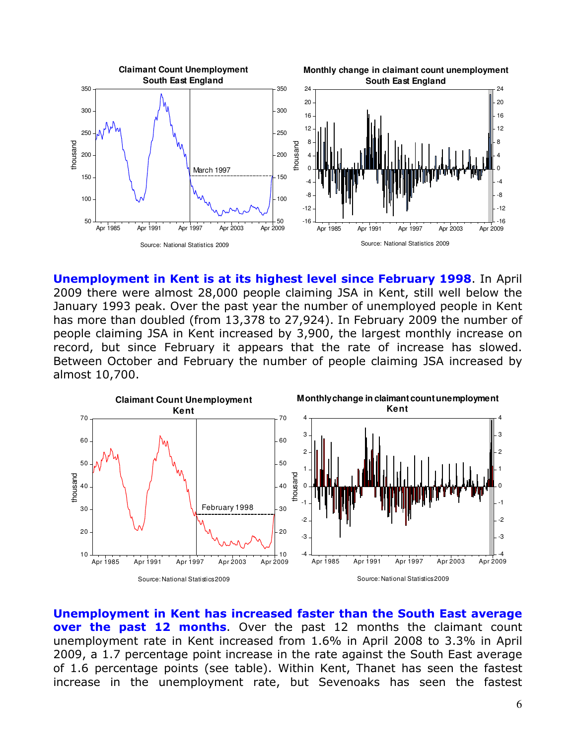

Unemployment in Kent is at its highest level since February 1998. In April 2009 there were almost 28,000 people claiming JSA in Kent, still well below the January 1993 peak. Over the past year the number of unemployed people in Kent has more than doubled (from 13,378 to 27,924). In February 2009 the number of people claiming JSA in Kent increased by 3,900, the largest monthly increase on record, but since February it appears that the rate of increase has slowed. Between October and February the number of people claiming JSA increased by almost 10,700.



Unemployment in Kent has increased faster than the South East average **over the past 12 months.** Over the past 12 months the claimant count unemployment rate in Kent increased from 1.6% in April 2008 to 3.3% in April 2009, a 1.7 percentage point increase in the rate against the South East average of 1.6 percentage points (see table). Within Kent, Thanet has seen the fastest increase in the unemployment rate, but Sevenoaks has seen the fastest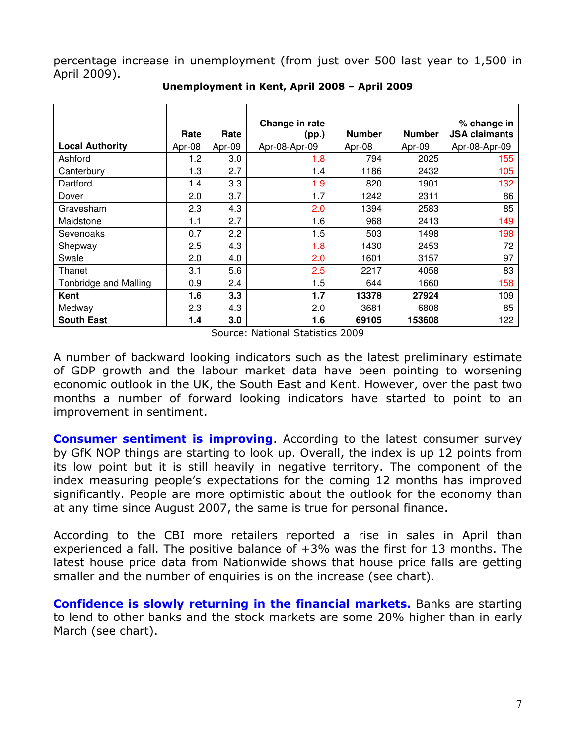percentage increase in unemployment (from just over 500 last year to 1,500 in April 2009).

|                        |        |         | Change in rate |               |               | % change in          |
|------------------------|--------|---------|----------------|---------------|---------------|----------------------|
|                        | Rate   | Rate    | (pp.)          | <b>Number</b> | <b>Number</b> | <b>JSA claimants</b> |
| <b>Local Authority</b> | Apr-08 | Apr-09  | Apr-08-Apr-09  | Apr-08        | Apr-09        | Apr-08-Apr-09        |
| Ashford                | 1.2    | 3.0     | 1.8            | 794           | 2025          | 155                  |
| Canterbury             | 1.3    | 2.7     | 1.4            | 1186          | 2432          | 105                  |
| Dartford               | 1.4    | 3.3     | 1.9            | 820           | 1901          | 132                  |
| Dover                  | 2.0    | 3.7     | 1.7            | 1242          | 2311          | 86                   |
| Gravesham              | 2.3    | 4.3     | 2.0            | 1394          | 2583          | 85                   |
| Maidstone              | 1.1    | 2.7     | 1.6            | 968           | 2413          | 149                  |
| Sevenoaks              | 0.7    | 2.2     | 1.5            | 503           | 1498          | 198                  |
| Shepway                | 2.5    | 4.3     | 1.8            | 1430          | 2453          | 72                   |
| Swale                  | 2.0    | 4.0     | 2.0            | 1601          | 3157          | 97                   |
| Thanet                 | 3.1    | 5.6     | 2.5            | 2217          | 4058          | 83                   |
| Tonbridge and Malling  | 0.9    | $2.4\,$ | 1.5            | 644           | 1660          | 158                  |
| Kent                   | 1.6    | 3.3     | 1.7            | 13378         | 27924         | 109                  |
| Medway                 | 2.3    | 4.3     | 2.0            | 3681          | 6808          | 85                   |
| <b>South East</b>      | 1.4    | 3.0     | 1.6            | 69105         | 153608        | 122                  |

Unemployment in Kent, April 2008 – April 2009

Source: National Statistics 2009

A number of backward looking indicators such as the latest preliminary estimate of GDP growth and the labour market data have been pointing to worsening economic outlook in the UK, the South East and Kent. However, over the past two months a number of forward looking indicators have started to point to an improvement in sentiment.

**Consumer sentiment is improving.** According to the latest consumer survey by GfK NOP things are starting to look up. Overall, the index is up 12 points from its low point but it is still heavily in negative territory. The component of the index measuring people's expectations for the coming 12 months has improved significantly. People are more optimistic about the outlook for the economy than at any time since August 2007, the same is true for personal finance.

According to the CBI more retailers reported a rise in sales in April than experienced a fall. The positive balance of  $+3%$  was the first for 13 months. The latest house price data from Nationwide shows that house price falls are getting smaller and the number of enquiries is on the increase (see chart).

Confidence is slowly returning in the financial markets. Banks are starting to lend to other banks and the stock markets are some 20% higher than in early March (see chart).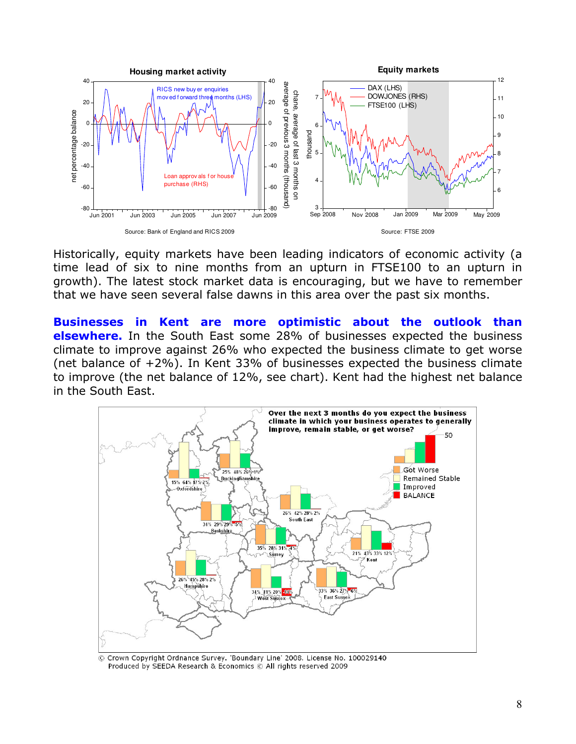

Historically, equity markets have been leading indicators of economic activity (a time lead of six to nine months from an upturn in FTSE100 to an upturn in growth). The latest stock market data is encouraging, but we have to remember that we have seen several false dawns in this area over the past six months.

Businesses in Kent are more optimistic about the outlook than **elsewhere.** In the South East some 28% of businesses expected the business climate to improve against 26% who expected the business climate to get worse (net balance of  $+2\%$ ). In Kent 33% of businesses expected the business climate to improve (the net balance of 12%, see chart). Kent had the highest net balance in the South East.



© Crown Copyright Ordnance Survey. 'Boundary Line' 2008. License No. 100029140 Produced by SEEDA Research & Economics © All rights reserved 2009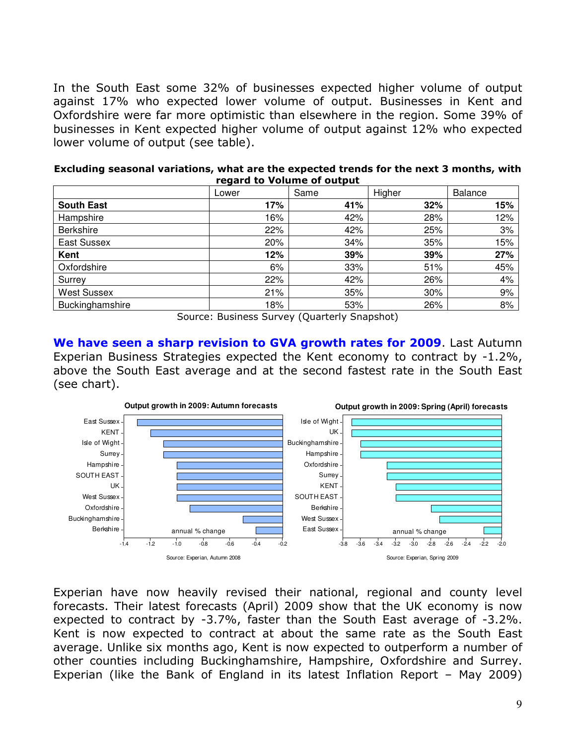In the South East some 32% of businesses expected higher volume of output against 17% who expected lower volume of output. Businesses in Kent and Oxfordshire were far more optimistic than elsewhere in the region. Some 39% of businesses in Kent expected higher volume of output against 12% who expected lower volume of output (see table).

| Excluding seasonal variations, what are the expected trends for the next 3 months, with |
|-----------------------------------------------------------------------------------------|
| regard to Volume of output                                                              |

|                    | Lower | Same | Higher | <b>Balance</b> |
|--------------------|-------|------|--------|----------------|
| <b>South East</b>  | 17%   | 41%  | 32%    | 15%            |
| Hampshire          | 16%   | 42%  | 28%    | 12%            |
| <b>Berkshire</b>   | 22%   | 42%  | 25%    | 3%             |
| East Sussex        | 20%   | 34%  | 35%    | 15%            |
| Kent               | 12%   | 39%  | 39%    | 27%            |
| Oxfordshire        | 6%    | 33%  | 51%    | 45%            |
| Surrey             | 22%   | 42%  | 26%    | 4%             |
| <b>West Sussex</b> | 21%   | 35%  | 30%    | 9%             |
| Buckinghamshire    | 18%   | 53%  | 26%    | 8%             |

Source: Business Survey (Quarterly Snapshot)

We have seen a sharp revision to GVA growth rates for 2009. Last Autumn Experian Business Strategies expected the Kent economy to contract by -1.2%, above the South East average and at the second fastest rate in the South East (see chart).



Experian have now heavily revised their national, regional and county level forecasts. Their latest forecasts (April) 2009 show that the UK economy is now expected to contract by -3.7%, faster than the South East average of -3.2%. Kent is now expected to contract at about the same rate as the South East average. Unlike six months ago, Kent is now expected to outperform a number of other counties including Buckinghamshire, Hampshire, Oxfordshire and Surrey. Experian (like the Bank of England in its latest Inflation Report – May 2009)